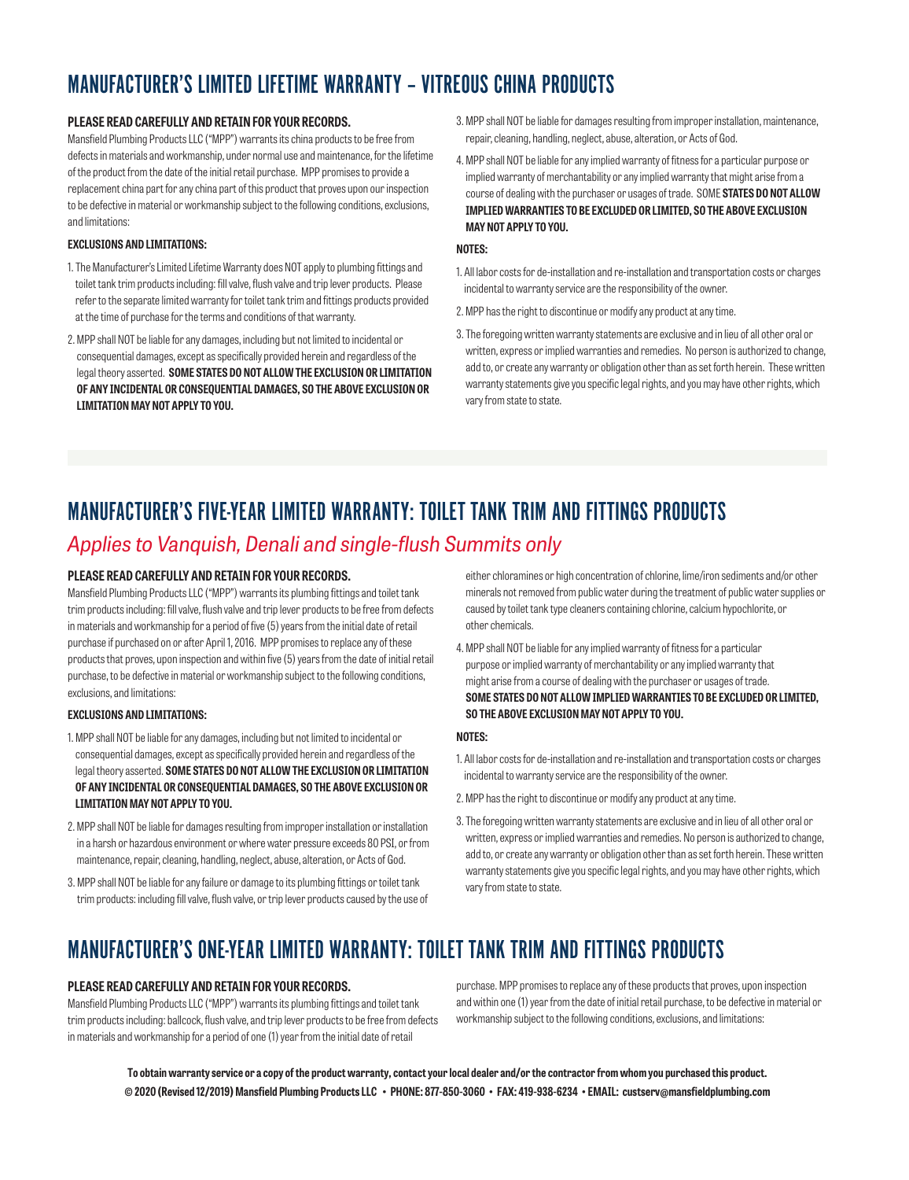# MANUFACTURER'S LIMITED LIFETIME WARRANTY – VITREOUS CHINA PRODUCTS

### **PLEASE READ CAREFULLY AND RETAIN FOR YOUR RECORDS.**

Mansfield Plumbing Products LLC ("MPP") warrants its china products to be free from defects in materials and workmanship, under normal use and maintenance, for the lifetime of the product from the date of the initial retail purchase. MPP promises to provide a replacement china part for any china part of this product that proves upon our inspection to be defective in material or workmanship subject to the following conditions, exclusions, and limitations:

### **EXCLUSIONS AND LIMITATIONS:**

- 1. The Manufacturer's Limited Lifetime Warranty does NOT apply to plumbing fittings and toilet tank trim products including: fill valve, flush valve and trip lever products. Please refer to the separate limited warranty for toilet tank trim and fittings products provided at the time of purchase for the terms and conditions of that warranty.
- 2. MPP shall NOT be liable for any damages, including but not limited to incidental or consequential damages, except as specifically provided herein and regardless of the legal theory asserted. **SOME STATES DO NOT ALLOW THE EXCLUSION OR LIMITATION OF ANY INCIDENTAL OR CONSEQUENTIAL DAMAGES, SO THE ABOVE EXCLUSION OR LIMITATION MAY NOT APPLY TO YOU.**
- 3. MPP shall NOT be liable for damages resulting from improper installation, maintenance, repair, cleaning, handling, neglect, abuse, alteration, or Acts of God.
- 4. MPP shall NOT be liable for any implied warranty of fitness for a particular purpose or implied warranty of merchantability or any implied warranty that might arise from a course of dealing with the purchaser or usages of trade. SOME **STATES DO NOT ALLOW IMPLIED WARRANTIES TO BE EXCLUDED OR LIMITED, SO THE ABOVE EXCLUSION MAY NOT APPLY TO YOU.**

### **NOTES:**

- 1. All labor costs for de-installation and re-installation and transportation costs or charges incidental to warranty service are the responsibility of the owner.
- 2. MPP has the right to discontinue or modify any product at any time.
- 3. The foregoing written warranty statements are exclusive and in lieu of all other oral or written, express or implied warranties and remedies. No person is authorized to change, add to, or create any warranty or obligation other than as set forth herein. These written warranty statements give you specific legal rights, and you may have other rights, which vary from state to state.

# MANUFACTURER'S FIVE-YEAR LIMITED WARRANTY: TOILET TANK TRIM AND FITTINGS PRODUCTS

## *Applies to Vanquish, Denali and single-flush Summits only*

### **PLEASE READ CAREFULLY AND RETAIN FOR YOUR RECORDS.**

Mansfield Plumbing Products LLC ("MPP") warrants its plumbing fittings and toilet tank trim products including: fill valve, flush valve and trip lever products to be free from defects in materials and workmanship for a period of five (5) years from the initial date of retail purchase if purchased on or after April 1, 2016. MPP promises to replace any of these products that proves, upon inspection and within five (5) years from the date of initial retail purchase, to be defective in material or workmanship subject to the following conditions, exclusions, and limitations:

### **EXCLUSIONS AND LIMITATIONS:**

- 1. MPP shall NOT be liable for any damages, including but not limited to incidental or consequential damages, except as specifically provided herein and regardless of the legal theory asserted. **SOME STATES DO NOT ALLOW THE EXCLUSION OR LIMITATION OF ANY INCIDENTAL OR CONSEQUENTIAL DAMAGES, SO THE ABOVE EXCLUSION OR LIMITATION MAY NOT APPLY TO YOU.**
- 2. MPP shall NOT be liable for damages resulting from improper installation or installation in a harsh or hazardous environment or where water pressure exceeds 80 PSI, or from maintenance, repair, cleaning, handling, neglect, abuse, alteration, or Acts of God.
- 3. MPP shall NOT be liable for any failure or damage to its plumbing fittings or toilet tank trim products: including fill valve, flush valve, or trip lever products caused by the use of

either chloramines or high concentration of chlorine, lime/iron sediments and/or other minerals not removed from public water during the treatment of public water supplies or caused by toilet tank type cleaners containing chlorine, calcium hypochlorite, or other chemicals.

4. MPP shall NOT be liable for any implied warranty of fitness for a particular purpose or implied warranty of merchantability or any implied warranty that might arise from a course of dealing with the purchaser or usages of trade. **SOME STATES DO NOT ALLOW IMPLIED WARRANTIES TO BE EXCLUDED OR LIMITED, SO THE ABOVE EXCLUSION MAY NOT APPLY TO YOU.**

### **NOTES:**

- 1. All labor costs for de-installation and re-installation and transportation costs or charges incidental to warranty service are the responsibility of the owner.
- 2. MPP has the right to discontinue or modify any product at any time.
- 3. The foregoing written warranty statements are exclusive and in lieu of all other oral or written, express or implied warranties and remedies. No person is authorized to change, add to, or create any warranty or obligation other than as set forth herein. These written warranty statements give you specific legal rights, and you may have other rights, which vary from state to state.

# MANUFACTURER'S ONE-YEAR LIMITED WARRANTY: TOILET TANK TRIM AND FITTINGS PRODUCTS

### **PLEASE READ CAREFULLY AND RETAIN FOR YOUR RECORDS.**

Mansfield Plumbing Products LLC ("MPP") warrants its plumbing fittings and toilet tank trim products including: ballcock, flush valve, and trip lever products to be free from defects in materials and workmanship for a period of one (1) year from the initial date of retail

purchase. MPP promises to replace any of these products that proves, upon inspection and within one (1) year from the date of initial retail purchase, to be defective in material or workmanship subject to the following conditions, exclusions, and limitations:

**To obtain warranty service or a copy of the product warranty, contact your local dealer and/or the contractor from whom you purchased this product. © 2020 (Revised 12/2019) Mansfield Plumbing Products LLC • PHONE: 877-850-3060 • FAX: 419-938-6234 • EMAIL: custserv@mansfieldplumbing.com**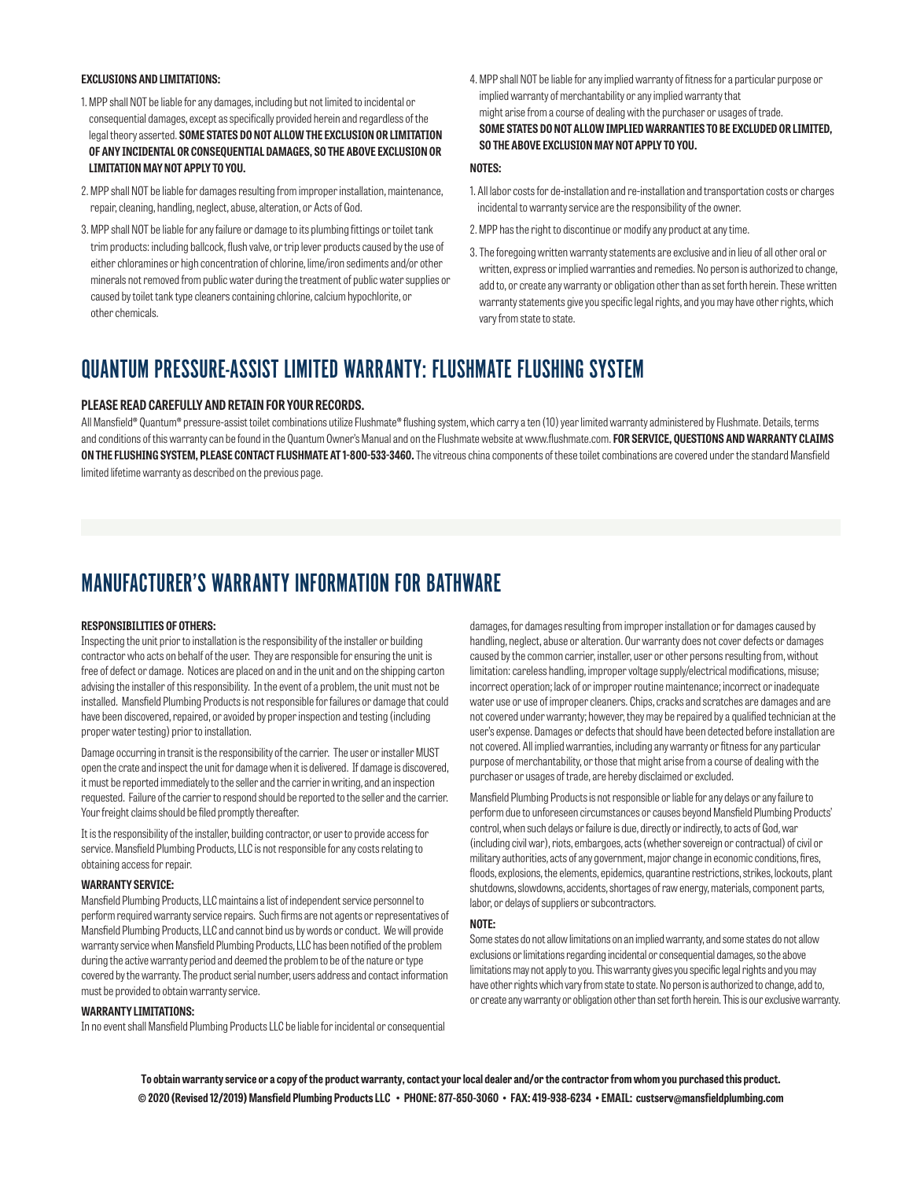### **EXCLUSIONS AND LIMITATIONS:**

- 1. MPP shall NOT be liable for any damages, including but not limited to incidental or consequential damages, except as specifically provided herein and regardless of the legal theory asserted. **SOME STATES DO NOT ALLOW THE EXCLUSION OR LIMITATION OF ANY INCIDENTAL OR CONSEQUENTIAL DAMAGES, SO THE ABOVE EXCLUSION OR LIMITATION MAY NOT APPLY TO YOU.**
- 2. MPP shall NOT be liable for damages resulting from improper installation, maintenance, repair, cleaning, handling, neglect, abuse, alteration, or Acts of God.
- 3. MPP shall NOT be liable for any failure or damage to its plumbing fittings or toilet tank trim products: including ballcock, flush valve, or trip lever products caused by the use of either chloramines or high concentration of chlorine, lime/iron sediments and/or other minerals not removed from public water during the treatment of public water supplies or caused by toilet tank type cleaners containing chlorine, calcium hypochlorite, or other chemicals.
- 4. MPP shall NOT be liable for any implied warranty of fitness for a particular purpose or implied warranty of merchantability or any implied warranty that might arise from a course of dealing with the purchaser or usages of trade. **SOME STATES DO NOT ALLOW IMPLIED WARRANTIES TO BE EXCLUDED OR LIMITED, SO THE ABOVE EXCLUSION MAY NOT APPLY TO YOU.**

### **NOTES:**

- 1. All labor costs for de-installation and re-installation and transportation costs or charges incidental to warranty service are the responsibility of the owner.
- 2. MPP has the right to discontinue or modify any product at any time.
- 3. The foregoing written warranty statements are exclusive and in lieu of all other oral or written, express or implied warranties and remedies. No person is authorized to change, add to, or create any warranty or obligation other than as set forth herein. These written warranty statements give you specific legal rights, and you may have other rights, which vary from state to state.

## QUANTUM PRESSURE-ASSIST LIMITED WARRANTY: FLUSHMATE FLUSHING SYSTEM

#### **PLEASE READ CAREFULLY AND RETAIN FOR YOUR RECORDS.**

All Mansfield® Quantum® pressure-assist toilet combinations utilize Flushmate® flushing system, which carry a ten (10) year limited warranty administered by Flushmate. Details, terms and conditions of this warranty can be found in the Quantum Owner's Manual and on the Flushmate website at www.flushmate.com. **FOR SERVICE, QUESTIONS AND WARRANTY CLAIMS ON THE FLUSHING SYSTEM, PLEASE CONTACT FLUSHMATE AT 1-800-533-3460.** The vitreous china components of these toilet combinations are covered under the standard Mansfield limited lifetime warranty as described on the previous page.

## MANUFACTURER'S WARRANTY INFORMATION FOR BATHWARE

#### **RESPONSIBILITIES OF OTHERS:**

Inspecting the unit prior to installation is the responsibility of the installer or building contractor who acts on behalf of the user. They are responsible for ensuring the unit is free of defect or damage. Notices are placed on and in the unit and on the shipping carton advising the installer of this responsibility. In the event of a problem, the unit must not be installed. Mansfield Plumbing Products is not responsible for failures or damage that could have been discovered, repaired, or avoided by proper inspection and testing (including proper water testing) prior to installation.

Damage occurring in transit is the responsibility of the carrier. The user or installer MUST open the crate and inspect the unit for damage when it is delivered. If damage is discovered, it must be reported immediately to the seller and the carrier in writing, and an inspection requested. Failure of the carrier to respond should be reported to the seller and the carrier. Your freight claims should be filed promptly thereafter.

It is the responsibility of the installer, building contractor, or user to provide access for service. Mansfield Plumbing Products, LLC is not responsible for any costs relating to obtaining access for repair.

### **WARRANTY SERVICE:**

Mansfield Plumbing Products, LLC maintains a list of independent service personnel to perform required warranty service repairs. Such firms are not agents or representatives of Mansfield Plumbing Products, LLC and cannot bind us by words or conduct. We will provide warranty service when Mansfield Plumbing Products, LLC has been notified of the problem during the active warranty period and deemed the problem to be of the nature or type covered by the warranty. The product serial number, users address and contact information must be provided to obtain warranty service.

#### **WARRANTY LIMITATIONS:**

In no event shall Mansfield Plumbing Products LLC be liable for incidental or consequential

damages, for damages resulting from improper installation or for damages caused by handling, neglect, abuse or alteration. Our warranty does not cover defects or damages caused by the common carrier, installer, user or other persons resulting from, without limitation: careless handling, improper voltage supply/electrical modifications, misuse; incorrect operation; lack of or improper routine maintenance; incorrect or inadequate water use or use of improper cleaners. Chips, cracks and scratches are damages and are not covered under warranty; however, they may be repaired by a qualified technician at the user's expense. Damages or defects that should have been detected before installation are not covered. All implied warranties, including any warranty or fitness for any particular purpose of merchantability, or those that might arise from a course of dealing with the purchaser or usages of trade, are hereby disclaimed or excluded.

Mansfield Plumbing Products is not responsible or liable for any delays or any failure to perform due to unforeseen circumstances or causes beyond Mansfield Plumbing Products' control, when such delays or failure is due, directly or indirectly, to acts of God, war (including civil war), riots, embargoes, acts (whether sovereign or contractual) of civil or military authorities, acts of any government, major change in economic conditions, fires, floods, explosions, the elements, epidemics, quarantine restrictions, strikes, lockouts, plant shutdowns, slowdowns, accidents, shortages of raw energy, materials, component parts, labor, or delays of suppliers or subcontractors.

#### **NOTE:**

Some states do not allow limitations on an implied warranty, and some states do not allow exclusions or limitations regarding incidental or consequential damages, so the above limitations may not apply to you. This warranty gives you specific legal rights and you may have other rights which vary from state to state. No person is authorized to change, add to, or create any warranty or obligation other than set forth herein. This is our exclusive warranty.

**To obtain warranty service or a copy of the product warranty, contact your local dealer and/or the contractor from whom you purchased this product. © 2020 (Revised 12/2019) Mansfield Plumbing Products LLC • PHONE: 877-850-3060 • FAX: 419-938-6234 • EMAIL: custserv@mansfieldplumbing.com**